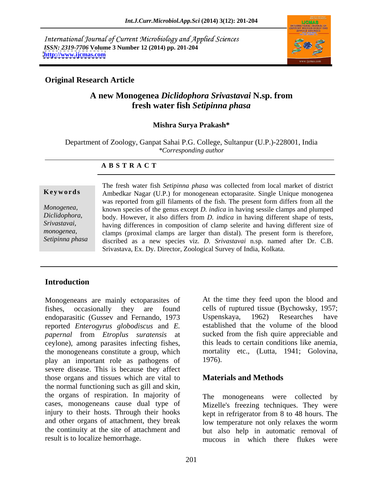International Journal of Current Microbiology and Applied Sciences *ISSN: 2319-7706* **Volume 3 Number 12 (2014) pp. 201-204 <http://www.ijcmas.com>**



## **Original Research Article**

# **A new Monogenea** *Diclidophora Srivastavai* **N.sp. from fresh water fish** *Setipinna phasa*

### **Mishra Surya Prakash\***

Department of Zoology, Ganpat Sahai P.G. College, Sultanpur (U.P.)-228001, India *\*Corresponding author*

### **A B S T R A C T**

**Keywords** Ambedkar Nagar (U.P.) for monogenean ectoparasite. Single Unique monogenea *Monogenea,* known species of the genus except *D. indica* in having sessile clamps and plumped *Diclidophora,* body. However, it also differs from *D. indica* in having different shape of tests, *Srivastavai,*  having differences in composition of clamp selerite and having different size of *monogenea*, clamps (proximal clamps are larger than distal). The present form is therefore, *Setipinna phasa* discribed as a new species viz. *D. Srivastavai* n.sp. named after Dr. C.B. The fresh water fish *Setipinna phasa* was collected from local market of district was reported from gill filaments of the fish. The present form differs from all the Srivastava, Ex. Dy. Director, Zoological Survey of India, Kolkata.

## **Introduction**

Monogeneans are mainly ectoparasites of fishes, occasionally they are found cells of ruptured tissue (Bychowsky, 1957; endoparasitic (Gussev and Fernando, 1973 reported *Enterogyrus globodiscus* and *E. papernal* from *Etroplus suratensis* at sucked from the fish quire appreciable and ceylone), among parasites infecting fishes, the monogeneans constitute a group, which mortality etc., (Lutta, 1941; Golovina, play an important role as pathogens of severe disease. This is because they affect those organs and tissues which are vital to the normal functioning such as gill and skin, the organs of respiration. In majority of cases, monogeneans cause dual type of injury to their hosts. Through their hooks and other organs of attachment, they break the continuity at the site of attachment and but also help in automatic removal of

At the time they feed upon the blood and Uspenskaya, 1962) Researches have established that the volume of the blood this leads to certain conditions like anemia, 1976).

## **Materials and Methods**

result is to localize hemorrhage. mucous in which there flukes were The monogeneans were collected by Mizelle's freezing techniques. They were kept in refrigerator from 8 to 48 hours. The low temperature not only relaxes the worm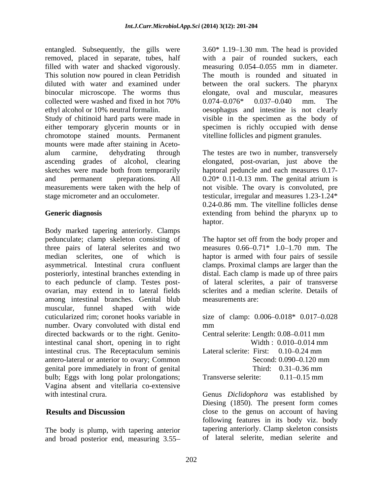entangled. Subsequently, the gills were  $3.60*$  1.19–1.30 mm. The head is provided removed, placed in separate, tubes, half filled with water and shacked vigorously. measuring 0.054 0.055 mm in diameter. This solution now poured in clean Petridish The mouth is rounded and situated in diluted with water and examined under between the oral suckers. The pharynx binocular microscope. The worms thus collected were washed and fixed in hot  $70\%$   $0.074-0.076*$   $0.037-0.040$  mm. The

Study of chitinoid hard parts were made in visible in the specimen as the body of either temporary glycerin mounts or in specimen is richly occupied with dense chromotope stained mounts. Permanent mounts were made after staining in Aceto alum carmine, dehydrating through The testes are two in number, transversely ascending grades of alcohol, clearing elongated, post-ovarian, just above the sketches were made both from temporarily haptoral peduncle and each measures 0.17 and permanent preparations. All 0.20\* 0.11-0.13 mm. The genital atrium is measurements were taken with the help of not visible. The ovary is convoluted, pre

Body marked tapering anteriorly. Clamps pedunculate; clamp skeleton consisting of The haptor set off from the body proper and three pairs of lateral selerites and two measures  $0.66 - 0.71^*$  1.0  $-1.70$  mm. The median sclerites, one of which is haptor is armed with four pairs of sessile asymmetrical. Intestinal crura confluent clamps. Proximal clamps are larger than the posteriorly, intestinal branches extending in distal. Each clamp is made up of three pairs to each peduncle of clamp. Testes post ovarian, may extend in to lateral fields among intestinal branches. Genital blub muscular, funnel shaped with wide cuticularized rim; coronet hooks variable in size of clamp: 0.006 0.018\* 0.017 0.028 number. Ovary convoluted with distal end mm directed backwards or to the right. Genito-<br>Central selerite: Length: 0.08–0.011 mm intestinal canal short, opening in to right intestinal crus. The Receptaculum seminis Lateral sclerite: First: 0.10–0.24 mm antero-lateral or anterior to ovary; Common genital pore immediately in front of genital bulb; Eggs with long polar prolongations; Transverse selerite: 0.11–0.15 mm Vagina absent and vitellaria co-extensive

The body is plump, with tapering anterior and broad posterior end, measuring 3.55

ethyl alcohol or 10% neutral formalin. oesophagus and intestine is not clearly with a pair of rounded suckers, each elongate, oval and muscular, measures 0.074 0.076\* 0.037 0.040 mm. The vitelline follicles and pigment granules.

stage micrometer and an occulometer. testicular, irregular and measures 1.23-1.24\* **Generic diagnosis** extending from behind the pharynx up to 0.24-0.86 mm. The vitelline follicles dense haptor. The contract of the contract of the contract of the contract of the contract of the contract of the contract of the contract of the contract of the contract of the contract of the contract of the contract of the co

> of lateral sclerites, a pair of transverse sclerites and a median sclerite. Details of measurements are:

mm and the contract of the contract of the contract of the contract of the contract of the contract of the contract of the contract of the contract of the contract of the contract of the contract of the contract of the con Central selerite: Length: 0.08–0.011 mm Width : 0.010–0.014 mm Lateral sclerite: First: 0.10–0.24 mm Second: 0.090–0.120 mm Third:  $0.31 - 0.36$  mm Transverse selerite:  $0.11 - 0.15$  mm

with intestinal crura. Genus *Diclidophora* was established by **Results and Discussion close** to the genus on account of having Diesing (1850). The present form comes following features in its body viz. body tapering anteriorly. Clamp skeleton consists of lateral selerite, median selerite and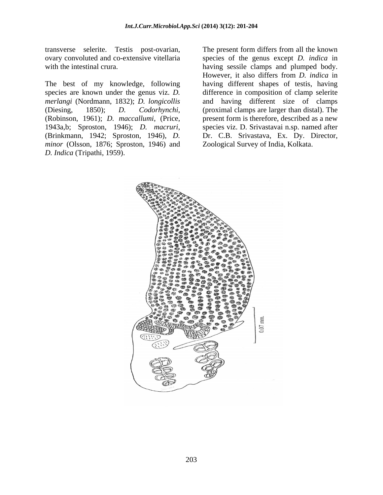transverse selerite. Testis post-ovarian,

The best of my knowledge, following species are known under the genus viz. *D. merlangi* (Nordmann, 1832); *D. longicollis* (Diesing, 1850); *D. Codorhynchi*, (proximal clamps are larger than distal). The (Robinson, 1961); *D. maccallumi*, (Price, present form is therefore, described as a new 1943a,b; Sproston, 1946); *D. macruri*, (Brinkmann, 1942; Sproston, 1946), *D. minor* (Olsson, 1876; Sproston, 1946) and

ovary convoluted and co-extensive vitellaria species of the genus except *D. indica* in with the intestinal crura. having sessile clamps and plumped body. *The present form differs from all the known*<br> *D. Indica* in with the intestinal crura.<br> *D. Indica* in the intestinal crura.<br> *D. Indica* in the intestinal crura.<br> **D.** Indica in the intestinal crura.<br> **D.** Indica in the However, it also differs from *D. indica* in having different shapes of testis, having difference in composition of clamp selerite and having different size of clamps (proximal clamps are larger than distal). The species viz. D. Srivastavai n.sp. named after Dr. C.B. Srivastava, Ex. Dy. Director, Zoological Survey of India, Kolkata.